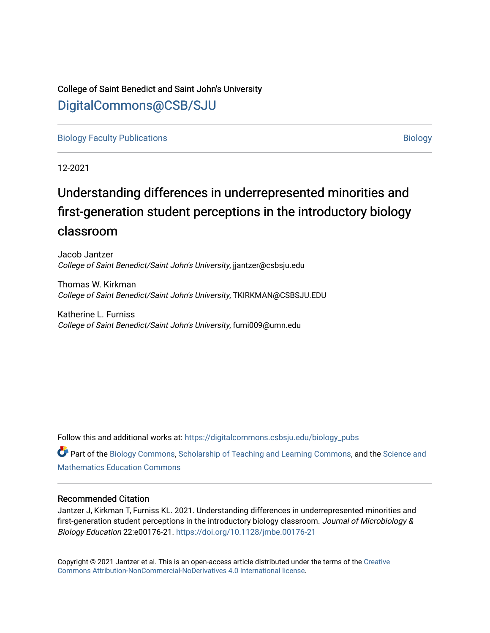## College of Saint Benedict and Saint John's University [DigitalCommons@CSB/SJU](https://digitalcommons.csbsju.edu/)

[Biology Faculty Publications](https://digitalcommons.csbsju.edu/biology_pubs) and the control of the control of the control of the control of the [Biology](https://digitalcommons.csbsju.edu/biology) Biology

12-2021

# Understanding differences in underrepresented minorities and first-generation student perceptions in the introductory biology classroom

Jacob Jantzer College of Saint Benedict/Saint John's University, jjantzer@csbsju.edu

Thomas W. Kirkman College of Saint Benedict/Saint John's University, TKIRKMAN@CSBSJU.EDU

Katherine L. Furniss College of Saint Benedict/Saint John's University, furni009@umn.edu

Follow this and additional works at: [https://digitalcommons.csbsju.edu/biology\\_pubs](https://digitalcommons.csbsju.edu/biology_pubs?utm_source=digitalcommons.csbsju.edu%2Fbiology_pubs%2F73&utm_medium=PDF&utm_campaign=PDFCoverPages) 

Part of the [Biology Commons,](http://network.bepress.com/hgg/discipline/41?utm_source=digitalcommons.csbsju.edu%2Fbiology_pubs%2F73&utm_medium=PDF&utm_campaign=PDFCoverPages) [Scholarship of Teaching and Learning Commons,](http://network.bepress.com/hgg/discipline/1328?utm_source=digitalcommons.csbsju.edu%2Fbiology_pubs%2F73&utm_medium=PDF&utm_campaign=PDFCoverPages) and the Science and [Mathematics Education Commons](http://network.bepress.com/hgg/discipline/800?utm_source=digitalcommons.csbsju.edu%2Fbiology_pubs%2F73&utm_medium=PDF&utm_campaign=PDFCoverPages) 

## Recommended Citation

Jantzer J, Kirkman T, Furniss KL. 2021. Understanding differences in underrepresented minorities and first-generation student perceptions in the introductory biology classroom. Journal of Microbiology & Biology Education 22:e00176-21.<https://doi.org/10.1128/jmbe.00176-21>

Copyright © 2021 Jantzer et al. This is an open-access article distributed under the terms of the [Creative](https://creativecommons.org/licenses/by-nc-nd/4.0/) [Commons Attribution-NonCommercial-NoDerivatives 4.0 International license](https://creativecommons.org/licenses/by-nc-nd/4.0/).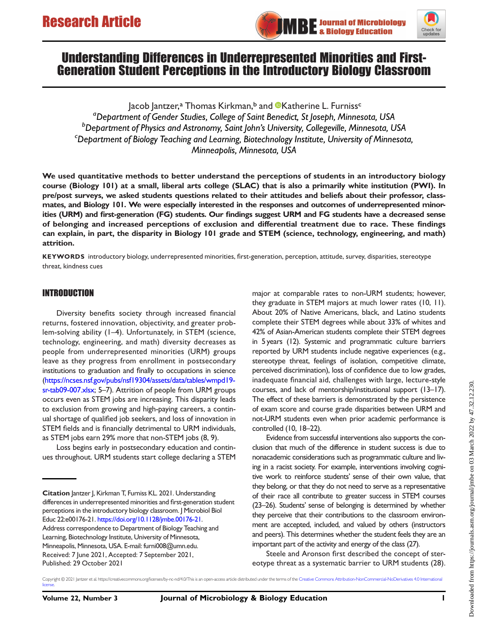



## Understanding Differences in Underrepresented Minorities and First-Generation Student Perceptions in the Introductory Biology Classroom

Jacob Jantzer,<sup>a</sup> Thomas Kirkman,<sup>b</sup> and **©**Katherine L. Furniss<sup>c</sup> <sup>a</sup>Department of Gender Studies, College of Saint Benedict, St Joseph, Minnesota, USA <sup>b</sup> Department of Physics and Astronomy, Saint John's University, Collegeville, Minnesota, USA<br>Concernent of Biology Teaching and Learning, Biotechnology Institute, University of Minnesota  $\epsilon$ Department of Biology Teaching and Learning, Biotechnology Institute, University of Minnesota, Minneapolis, Minnesota, USA

We used quantitative methods to better understand the perceptions of students in an introductory biology course (Biology 101) at a small, liberal arts college (SLAC) that is also a primarily white institution (PWI). In pre/post surveys, we asked students questions related to their attitudes and beliefs about their professor, classmates, and Biology 101. We were especially interested in the responses and outcomes of underrepresented minorities (URM) and first-generation (FG) students. Our findings suggest URM and FG students have a decreased sense of belonging and increased perceptions of exclusion and differential treatment due to race. These findings can explain, in part, the disparity in Biology 101 grade and STEM (science, technology, engineering, and math) attrition.

KEYWORDS introductory biology, underrepresented minorities, first-generation, perception, attitude, survey, disparities, stereotype threat, kindness cues

## INTRODUCTION

Diversity benefits society through increased financial returns, fostered innovation, objectivity, and greater problem-solving ability ([1](#page-7-0)–[4](#page-7-1)). Unfortunately, in STEM (science, technology, engineering, and math) diversity decreases as people from underrepresented minorities (URM) groups leave as they progress from enrollment in postsecondary institutions to graduation and finally to occupations in science [\(https://ncses.nsf.gov/pubs/nsf19304/assets/data/tables/wmpd19](https://ncses.nsf.gov/pubs/nsf19304/assets/data/tables/wmpd19-sr-tab09-007.xlsx) [sr-tab09-007.xlsx;](https://ncses.nsf.gov/pubs/nsf19304/assets/data/tables/wmpd19-sr-tab09-007.xlsx) [5](#page-7-2)[–](#page-7-3)[7](#page-8-0)). Attrition of people from URM groups occurs even as STEM jobs are increasing. This disparity leads to exclusion from growing and high-paying careers, a continual shortage of qualified job seekers, and loss of innovation in STEM fields and is financially detrimental to URM individuals, as STEM jobs earn 29% more that non-STEM jobs [\(8,](#page-8-1) [9](#page-8-2)).

Loss begins early in postsecondary education and continues throughout. URM students start college declaring a STEM

major at comparable rates to non-URM students; however, they graduate in STEM majors at much lower rates [\(10,](#page-8-3) [11\)](#page-8-4). About 20% of Native Americans, black, and Latino students complete their STEM degrees while about 33% of whites and 42% of Asian-American students complete their STEM degrees in 5 years [\(12\)](#page-8-5). Systemic and programmatic culture barriers reported by URM students include negative experiences (e.g., stereotype threat, feelings of isolation, competitive climate, perceived discrimination), loss of confidence due to low grades, inadequate financial aid, challenges with large, lecture-style courses, and lack of mentorship/institutional support [\(13](#page-8-6)–[17\)](#page-8-7). The effect of these barriers is demonstrated by the persistence of exam score and course grade disparities between URM and not-URM students even when prior academic performance is controlled ([10,](#page-8-3) [18](#page-8-8)–[22\)](#page-8-9).

Evidence from successful interventions also supports the conclusion that much of the difference in student success is due to nonacademic considerations such as programmatic culture and living in a racist society. For example, interventions involving cognitive work to reinforce students' sense of their own value, that they belong, or that they do not need to serve as a representative of their race all contribute to greater success in STEM courses [\(23](#page-8-10)–[26\)](#page-8-11). Students' sense of belonging is determined by whether they perceive that their contributions to the classroom environment are accepted, included, and valued by others (instructors and peers). This determines whether the student feels they are an important part of the activity and energy of the class [\(27](#page-8-12)).

Steele and Aronson first described the concept of stereotype threat as a systematic barrier to URM students ([28\)](#page-8-13).

Citation Jantzer J, Kirkman T, Furniss KL. 2021. Understanding differences in underrepresented minorities and first-generation student perceptions in the introductory biology classroom. J Microbiol Biol Educ 22:e00176-21. [https://doi.org/10.1128/jmbe.00176-21.](https://doi.org/10.1128/jmbe.00176-21) Address correspondence to Department of Biology Teaching and Learning, Biotechnology Institute, University of Minnesota, Minneapolis, Minnesota, USA. E-mail: [furni008@umn.edu](mailto:furni008@umn.edu). Received: 7 June 2021, Accepted: 7 September 2021, Published: 29 October 2021

Copyright © 2021 Jantzer et al. https://creativecommons.org/licenses/by-nc-nd/4.0/This is an open-access article distributed under the terms of the [Creative Commons Attribution-NonCommercial-NoDerivatives 4.0 International](https://creativecommons.org/licenses/by-nc-nd/4.0/) [license](https://creativecommons.org/licenses/by-nc-nd/4.0/)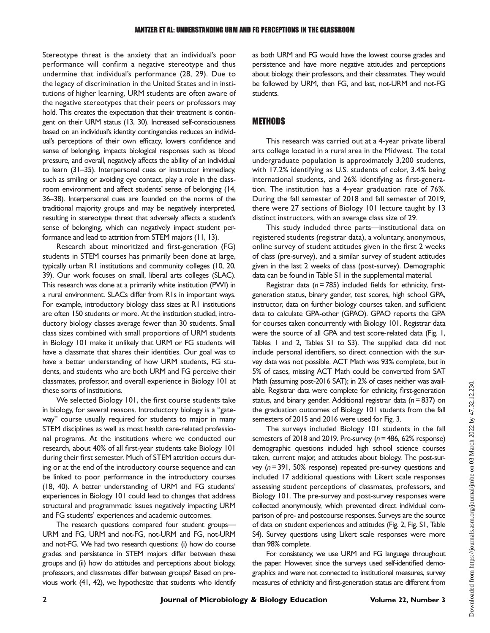Stereotype threat is the anxiety that an individual's poor performance will confirm a negative stereotype and thus undermine that individual's performance ([28,](#page-8-13) [29](#page-8-14)). Due to the legacy of discrimination in the United States and in institutions of higher learning, URM students are often aware of the negative stereotypes that their peers or professors may hold. This creates the expectation that their treatment is contingent on their URM status [\(13](#page-8-6), [30\)](#page-8-15). Increased self-consciousness based on an individual's identity contingencies reduces an individual's perceptions of their own efficacy, lowers confidence and sense of belonging, impacts biological responses such as blood pressure, and overall, negatively affects the ability of an individual to learn [\(31](#page-8-16)–[35\)](#page-9-0). Interpersonal cues or instructor immediacy, such as smiling or avoiding eye contact, play a role in the classroom environment and affect students' sense of belonging [\(14,](#page-8-17) [36](#page-9-1)[–](#page-9-2)[38\)](#page-9-3). Interpersonal cues are founded on the norms of the traditional majority groups and may be negatively interpreted, resulting in stereotype threat that adversely affects a student's sense of belonging, which can negatively impact student performance and lead to attrition from STEM majors ([11,](#page-8-4) [13\)](#page-8-6).

Research about minoritized and first-generation (FG) students in STEM courses has primarily been done at large, typically urban R1 institutions and community colleges [\(10,](#page-8-3) [20,](#page-8-18) [39](#page-9-4)). Our work focuses on small, liberal arts colleges (SLAC). This research was done at a primarily white institution (PWI) in a rural environment. SLACs differ from R1s in important ways. For example, introductory biology class sizes at R1 institutions are often 150 students or more. At the institution studied, introductory biology classes average fewer than 30 students. Small class sizes combined with small proportions of URM students in Biology 101 make it unlikely that URM or FG students will have a classmate that shares their identities. Our goal was to have a better understanding of how URM students, FG students, and students who are both URM and FG perceive their classmates, professor, and overall experience in Biology 101 at these sorts of institutions.

We selected Biology 101, the first course students take in biology, for several reasons. Introductory biology is a "gateway" course usually required for students to major in many STEM disciplines as well as most health care-related professional programs. At the institutions where we conducted our research, about 40% of all first-year students take Biology 101 during their first semester. Much of STEM attrition occurs during or at the end of the introductory course sequence and can be linked to poor performance in the introductory courses [\(18,](#page-8-8) [40\)](#page-9-5). A better understanding of URM and FG students' experiences in Biology 101 could lead to changes that address structural and programmatic issues negatively impacting URM and FG students' experiences and academic outcomes.

The research questions compared four student groups— URM and FG, URM and not-FG, not-URM and FG, not-URM and not-FG. We had two research questions: (i) how do course grades and persistence in STEM majors differ between these groups and (ii) how do attitudes and perceptions about biology, professors, and classmates differ between groups? Based on previous work [\(41,](#page-9-6) [42\)](#page-9-7), we hypothesize that students who identify as both URM and FG would have the lowest course grades and persistence and have more negative attitudes and perceptions about biology, their professors, and their classmates. They would be followed by URM, then FG, and last, not-URM and not-FG students.

## **METHODS**

This research was carried out at a 4-year private liberal arts college located in a rural area in the Midwest. The total undergraduate population is approximately 3,200 students, with 17.2% identifying as U.S. students of color, 3.4% being international students, and 26% identifying as first-generation. The institution has a 4-year graduation rate of 76%. During the fall semester of 2018 and fall semester of 2019, there were 27 sections of Biology 101 lecture taught by 13 distinct instructors, with an average class size of 29.

This study included three parts—institutional data on registered students (registrar data), a voluntary, anonymous, online survey of student attitudes given in the first 2 weeks of class (pre-survey), and a similar survey of student attitudes given in the last 2 weeks of class (post-survey). Demographic data can be found in Table S1 in the supplemental material.

Registrar data ( $n = 785$ ) included fields for ethnicity, firstgeneration status, binary gender, test scores, high school GPA, instructor, data on further biology courses taken, and sufficient data to calculate GPA-other (GPAO). GPAO reports the GPA for courses taken concurrently with Biology 101. Registrar data were the source of all GPA and test score-related data ([Fig. 1,](#page-3-0) [Tables 1](#page-3-1) and [2,](#page-3-2) Tables S1 to S3). The supplied data did not include personal identifiers, so direct connection with the survey data was not possible. ACT Math was 93% complete, but in 5% of cases, missing ACT Math could be converted from SAT Math (assuming post-2016 SAT); in 2% of cases neither was available. Registrar data were complete for ethnicity, first-generation status, and binary gender. Additional registrar data ( $n = 837$ ) on the graduation outcomes of Biology 101 students from the fall semesters of 2015 and 2016 were used for [Fig. 3.](#page-5-0)

The surveys included Biology 101 students in the fall semesters of 2018 and 2019. Pre-survey (n= 486, 62% response) demographic questions included high school science courses taken, current major, and attitudes about biology. The post-survey  $(n= 391, 50\%$  response) repeated pre-survey questions and included 17 additional questions with Likert scale responses assessing student perceptions of classmates, professors, and Biology 101. The pre-survey and post-survey responses were collected anonymously, which prevented direct individual comparison of pre- and postcourse responses. Surveys are the source of data on student experiences and attitudes [\(Fig. 2](#page-4-0), Fig. S1, Table S4). Survey questions using Likert scale responses were more than 98% complete.

For consistency, we use URM and FG language throughout the paper. However, since the surveys used self-identified demographics and were not connected to institutional measures, survey measures of ethnicity and first-generation status are different from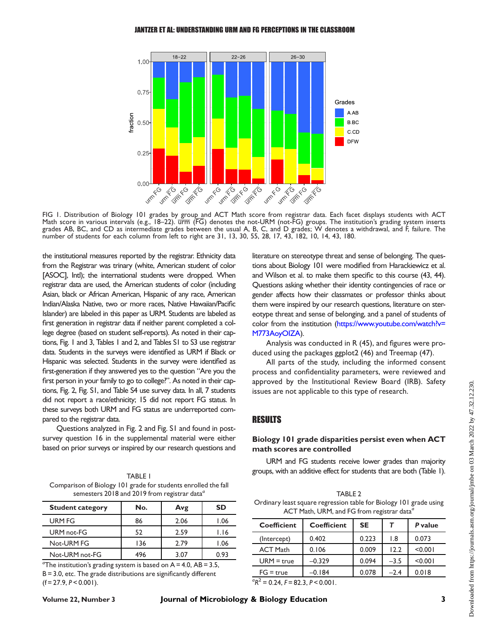#### JANTZER ET AL: UNDERSTANDING URM AND FG PERCEPTIONS IN THE CLASSROOM



<span id="page-3-0"></span>FIG 1. Distribution of Biology 101 grades by group and ACT Math score from registrar data. Each facet displays students with ACT Math score in various intervals (e.g., 18-22).  $\overline{u}\overline{r}\overline{m}$  (FG) denotes the not-URM (not-FG) groups. The institution's grading system inserts grades AB, BC, and CD as intermediate grades between the usual A, B, C, and D grades; W denotes a withdrawal, and F, failure. The number of students for each column from left to right are 31, 13, 30, 55, 28, 17, 43, 182, 10, 14, 43, 180.

the institutional measures reported by the registrar. Ethnicity data from the Registrar was trinary (white, American student of color [ASOC], Intl); the international students were dropped. When registrar data are used, the American students of color (including Asian, black or African American, Hispanic of any race, American Indian/Alaska Native, two or more races, Native Hawaiian/Pacific Islander) are labeled in this paper as URM. Students are labeled as first generation in registrar data if neither parent completed a college degree (based on student self-reports). As noted in their captions, [Fig. 1](#page-3-0) and [3,](#page-5-0) Tables [1](#page-3-0) and [2](#page-4-0), and Tables S1 to S3 use registrar data. Students in the surveys were identified as URM if Black or Hispanic was selected. Students in the survey were identified as first-generation if they answered yes to the question "Are you the first person in your family to go to college?". As noted in their captions, [Fig. 2,](#page-4-0) Fig. S1, and Table S4 use survey data. In all, 7 students did not report a race/ethnicity; 15 did not report FG status. In these surveys both URM and FG status are underreported compared to the registrar data.

Questions analyzed in [Fig. 2](#page-4-0) and Fig. S1 and found in postsurvey question 16 in the supplemental material were either based on prior surveys or inspired by our research questions and

<span id="page-3-1"></span>

| <b>TABLE I</b>                                                  |
|-----------------------------------------------------------------|
| Comparison of Biology 101 grade for students enrolled the fall  |
| semesters 2018 and 2019 from registrar data <sup><i>d</i></sup> |

| <b>Student category</b> | No. | Avg  | SD   |
|-------------------------|-----|------|------|
| URM FG                  | 86  | 2.06 | 1.06 |
| URM not-FG              | 52  | 2.59 | 1.16 |
| Not-URM FG              | 136 | 2.79 | 1.06 |
| Not-URM not-FG          | 496 | 3.07 | በ 93 |

<sup>a</sup>The institution's grading system is based on  $A = 4.0$ ,  $AB = 3.5$ ,  $B = 3.0$ , etc. The grade distributions are significantly different  $(f = 27.9, P < 0.001)$ .

literature on stereotype threat and sense of belonging. The questions about Biology 101 were modified from Harackiewicz et al. and Wilson et al. to make them specific to this course [\(43,](#page-9-8) [44\)](#page-9-9). Questions asking whether their identity contingencies of race or gender affects how their classmates or professor thinks about them were inspired by our research questions, literature on stereotype threat and sense of belonging, and a panel of students of color from the institution [\(https://www.youtube.com/watch?v=](https://www.youtube.com/watch?v=M773AoyOIZA) [M773AoyOIZA](https://www.youtube.com/watch?v=M773AoyOIZA)).

Analysis was conducted in R [\(45](#page-9-10)), and figures were produced using the packages ggplot2 ([46\)](#page-9-11) and Treemap [\(47\)](#page-9-12).

All parts of the study, including the informed consent process and confidentiality parameters, were reviewed and approved by the Institutional Review Board (IRB). Safety issues are not applicable to this type of research.

## RESULTS

## Biology 101 grade disparities persist even when ACT math scores are controlled

URM and FG students receive lower grades than majority groups, with an additive effect for students that are both [\(Table 1](#page-3-1)).

<span id="page-3-2"></span>

| TABLE 2                                                            |
|--------------------------------------------------------------------|
| Ordinary least square regression table for Biology 101 grade using |
| ACT Math, URM, and FG from registrar data <sup>a</sup>             |

| <b>Coefficient</b>                         | <b>Coefficient</b> | <b>SE</b> | $\tau$ | P value |  |
|--------------------------------------------|--------------------|-----------|--------|---------|--|
| (Intercept)                                | 0.402              | 0.223     | 1.8    | 0.073   |  |
| <b>ACT Math</b>                            | 0.106              | 0.009     | 12.2   | < 0.001 |  |
| $URM = true$                               | $-0.329$           | 0.094     | $-3.5$ | < 0.001 |  |
| $FG = true$                                | $-0.184$           | 0.078     | $-2.4$ | 0.018   |  |
| ${}^{0}R^{2}$ = 0.24, F = 82.3, P < 0.001. |                    |           |        |         |  |

Downloaded from https://journals.asm.org/journal/jmbe on 03 March 2022 by 47.32.12.230.Oownloaded from https://journals.asm.org/journal/jmbe on 03 March 2022 by 47.32.12.230.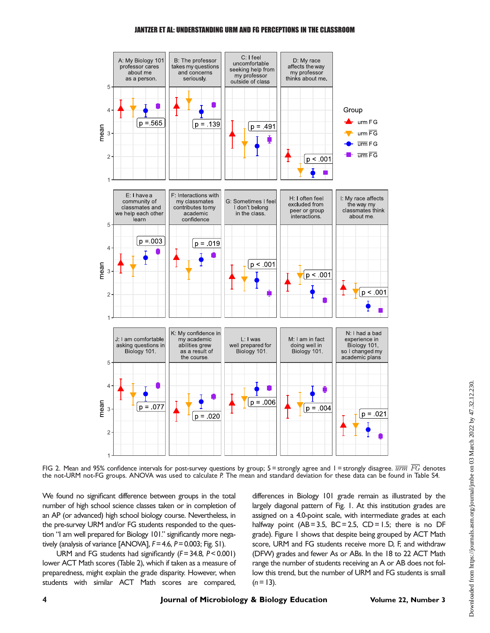#### JANTZER ET AL: UNDERSTANDING URM AND FG PERCEPTIONS IN THE CLASSROOM



<span id="page-4-0"></span>FIG 2. Mean and 95% confidence intervals for post-survey questions by group;  $5 =$ strongly agree and  $1 =$ strongly disagree.  $\overline{urm}$  FG denotes the not-URM not-FG groups. ANOVA was used to calculate P. The mean and standard deviation for these data can be found in Table S4.

We found no significant difference between groups in the total number of high school science classes taken or in completion of an AP (or advanced) high school biology course. Nevertheless, in the pre-survey URM and/or FG students responded to the question "I am well prepared for Biology 101." significantly more negatively (analysis of variance [ANOVA],  $F = 4.6$ ,  $P = 0.003$ ; Fig. S1).

URM and FG students had significantly  $(F= 34.8, P < 0.001)$ lower ACT Math scores [\(Table 2\)](#page-3-2), which if taken as a measure of preparedness, might explain the grade disparity. However, when students with similar ACT Math scores are compared,

differences in Biology 101 grade remain as illustrated by the largely diagonal pattern of [Fig. 1.](#page-3-0) At this institution grades are assigned on a 4.0-point scale, with intermediate grades at each halfway point  $(AB = 3.5, BC = 2.5, CD = 1.5;$  there is no DF grade). [Figure 1](#page-3-0) shows that despite being grouped by ACT Math score, URM and FG students receive more D, F, and withdraw (DFW) grades and fewer As or ABs. In the 18 to 22 ACT Math range the number of students receiving an A or AB does not follow this trend, but the number of URM and FG students is small  $(n = 13)$ .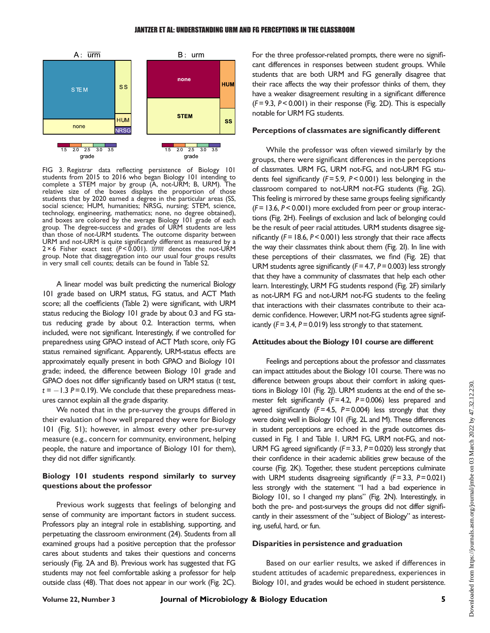

<span id="page-5-0"></span>FIG 3. Registrar data reflecting persistence of Biology 101 students from 2015 to 2016 who began Biology 101 intending to complete a STEM major by group (A, not-URM; B, URM). The relative size of the boxes displays the proportion of those students that by 2020 earned a degree in the particular areas (SS, social science; HUM, humanities; NRSG, nursing; STEM, science, technology, engineering, mathematics; none, no degree obtained), and boxes are colored by the average Biology 101 grade of each group. The degree-success and grades of URM students are less than those of not-URM students. The outcome disparity between URM and not-URM is quite significantly different as measured by a 2 × 6 Fisher exact test (P < 0.001).  $\overline{u}\overline{r}\overline{m}$  denotes the not-URM group. Note that disaggregation into our usual four groups results in very small cell counts; details can be found in Table S2.

A linear model was built predicting the numerical Biology 101 grade based on URM status, FG status, and ACT Math score; all the coefficients [\(Table 2](#page-3-2)) were significant, with URM status reducing the Biology 101 grade by about 0.3 and FG status reducing grade by about 0.2. Interaction terms, when included, were not significant. Interestingly, if we controlled for preparedness using GPAO instead of ACT Math score, only FG status remained significant. Apparently, URM-status effects are approximately equally present in both GPAO and Biology 101 grade; indeed, the difference between Biology 101 grade and GPAO does not differ significantly based on URM status (t test,  $t = -1.3$  P= 0.19). We conclude that these preparedness measures cannot explain all the grade disparity.

We noted that in the pre-survey the groups differed in their evaluation of how well prepared they were for Biology 101 (Fig. S1); however, in almost every other pre-survey measure (e.g., concern for community, environment, helping people, the nature and importance of Biology 101 for them), they did not differ significantly.

## Biology 101 students respond similarly to survey questions about the professor

Previous work suggests that feelings of belonging and sense of community are important factors in student success. Professors play an integral role in establishing, supporting, and perpetuating the classroom environment [\(24\)](#page-8-19). Students from all examined groups had a positive perception that the professor cares about students and takes their questions and concerns seriously [\(Fig. 2A](#page-4-0) and [B](#page-5-0)). Previous work has suggested that FG students may not feel comfortable asking a professor for help outside class [\(48](#page-9-13)). That does not appear in our work [\(Fig. 2C\)](#page-4-0). For the three professor-related prompts, there were no significant differences in responses between student groups. While students that are both URM and FG generally disagree that their race affects the way their professor thinks of them, they have a weaker disagreement resulting in a significant difference  $(F= 9.3, P < 0.001)$  in their response ([Fig. 2D\)](#page-4-0). This is especially notable for URM FG students.

#### Perceptions of classmates are significantly different

While the professor was often viewed similarly by the groups, there were significant differences in the perceptions of classmates. URM FG, URM not-FG, and not-URM FG students feel significantly  $(F= 5.9, P < 0.001)$  less belonging in the classroom compared to not-URM not-FG students ([Fig. 2G\)](#page-4-0). This feeling is mirrored by these same groups feeling significantly  $(F= 13.6, P< 0.001)$  more excluded from peer or group interactions [\(Fig. 2H](#page-4-0)). Feelings of exclusion and lack of belonging could be the result of peer racial attitudes. URM students disagree significantly ( $F = 18.6$ ,  $P < 0.001$ ) less strongly that their race affects the way their classmates think about them [\(Fig. 2I](#page-4-0)). In line with these perceptions of their classmates, we find [\(Fig. 2E](#page-4-0)) that URM students agree significantly ( $F = 4.7$ ,  $P = 0.003$ ) less strongly that they have a community of classmates that help each other learn. Interestingly, URM FG students respond ([Fig. 2F\)](#page-4-0) similarly as not-URM FG and not-URM not-FG students to the feeling that interactions with their classmates contribute to their academic confidence. However, URM not-FG students agree significantly ( $F = 3.4$ ,  $P = 0.019$ ) less strongly to that statement.

#### Attitudes about the Biology 101 course are different

Feelings and perceptions about the professor and classmates can impact attitudes about the Biology 101 course. There was no difference between groups about their comfort in asking questions in Biology 101 [\(Fig. 2J](#page-4-0)). URM students at the end of the semester felt significantly  $(F= 4.2, P= 0.006)$  less prepared and agreed significantly  $(F= 4.5, P= 0.004)$  less strongly that they were doing well in Biology 101 [\(Fig. 2L](#page-4-0) and [M\)](#page-5-0). These differences in student perceptions are echoed in the grade outcomes discussed in [Fig. 1](#page-3-0) and [Table 1](#page-3-1). URM FG, URM not-FG, and not-URM FG agreed significantly ( $F = 3.3$ ,  $P = 0.020$ ) less strongly that their confidence in their academic abilities grew because of the course [\(Fig. 2K](#page-4-0)). Together, these student perceptions culminate with URM students disagreeing significantly  $(F= 3.3, P= 0.021)$ less strongly with the statement "I had a bad experience in Biology 101, so I changed my plans" [\(Fig. 2N\)](#page-4-0). Interestingly, in both the pre- and post-surveys the groups did not differ significantly in their assessment of the "subject of Biology" as interesting, useful, hard, or fun.

#### Disparities in persistence and graduation

Based on our earlier results, we asked if differences in student attitudes of academic preparedness, experiences in Biology 101, and grades would be echoed in student persistence.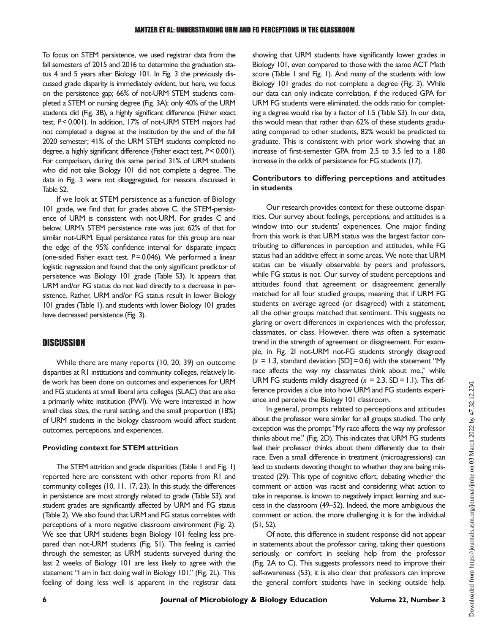To focus on STEM persistence, we used registrar data from the fall semesters of 2015 and 2016 to determine the graduation status 4 and 5 years after Biology 101. In [Fig. 3](#page-5-0) the previously discussed grade disparity is immediately evident, but here, we focus on the persistence gap; 66% of not-URM STEM students completed a STEM or nursing degree [\(Fig. 3A](#page-5-0)); only 40% of the URM students did [\(Fig. 3B\)](#page-5-0), a highly significant difference (Fisher exact test, P< 0.001). In addition, 17% of not-URM STEM majors had not completed a degree at the institution by the end of the fall 2020 semester; 41% of the URM STEM students completed no degree, a highly significant difference (Fisher exact test, P< 0.001). For comparison, during this same period 31% of URM students who did not take Biology 101 did not complete a degree. The data in [Fig. 3](#page-5-0) were not disaggregated, for reasons discussed in Table S2.

If we look at STEM persistence as a function of Biology 101 grade, we find that for grades above C, the STEM-persistence of URM is consistent with not-URM. For grades C and below, URM's STEM persistence rate was just 62% of that for similar not-URM. Equal persistence rates for this group are near the edge of the 95% confidence interval for disparate impact (one-sided Fisher exact test,  $P = 0.046$ ). We performed a linear logistic regression and found that the only significant predictor of persistence was Biology 101 grade (Table S3). It appears that URM and/or FG status do not lead directly to a decrease in persistence. Rather, URM and/or FG status result in lower Biology 101 grades [\(Table 1\)](#page-3-1), and students with lower Biology 101 grades have decreased persistence [\(Fig. 3\)](#page-5-0).

## **DISCUSSION**

While there are many reports ([10,](#page-8-3) [20,](#page-8-18) [39](#page-9-4)) on outcome disparities at R1 institutions and community colleges, relatively little work has been done on outcomes and experiences for URM and FG students at small liberal arts colleges (SLAC) that are also a primarily white institution (PWI). We were interested in how small class sizes, the rural setting, and the small proportion (18%) of URM students in the biology classroom would affect student outcomes, perceptions, and experiences.

#### Providing context for STEM attrition

The STEM attrition and grade disparities [\(Table 1](#page-3-1) and [Fig. 1\)](#page-3-0) reported here are consistent with other reports from R1 and community colleges [\(10,](#page-8-3) [11](#page-8-4), [17](#page-8-7), [23](#page-8-10)). In this study, the differences in persistence are most strongly related to grade (Table S3), and student grades are significantly affected by URM and FG status [\(Table 2](#page-3-2)). We also found that URM and FG status correlates with perceptions of a more negative classroom environment [\(Fig. 2\)](#page-4-0). We see that URM students begin Biology 101 feeling less prepared than not-URM students (Fig. S1). This feeling is carried through the semester, as URM students surveyed during the last 2 weeks of Biology 101 are less likely to agree with the statement "I am in fact doing well in Biology 101." [\(Fig. 2L](#page-4-0)). This feeling of doing less well is apparent in the registrar data

showing that URM students have significantly lower grades in Biology 101, even compared to those with the same ACT Math score [\(Table 1](#page-3-1) and [Fig. 1](#page-3-0)). And many of the students with low Biology 101 grades do not complete a degree [\(Fig. 3\)](#page-5-0). While our data can only indicate correlation, if the reduced GPA for URM FG students were eliminated, the odds ratio for completing a degree would rise by a factor of 1.5 (Table S3). In our data, this would mean that rather than 62% of these students graduating compared to other students, 82% would be predicted to graduate. This is consistent with prior work showing that an increase of first-semester GPA from 2.5 to 3.5 led to a 1.80 increase in the odds of persistence for FG students [\(17\)](#page-8-7).

## Contributors to differing perceptions and attitudes in students

Our research provides context for these outcome disparities. Our survey about feelings, perceptions, and attitudes is a window into our students' experiences. One major finding from this work is that URM status was the largest factor contributing to differences in perception and attitudes, while FG status had an additive effect in some areas. We note that URM status can be visually observable by peers and professors, while FG status is not. Our survey of student perceptions and attitudes found that agreement or disagreement generally matched for all four studied groups, meaning that if URM FG students on average agreed (or disagreed) with a statement, all the other groups matched that sentiment. This suggests no glaring or overt differences in experiences with the professor, classmates, or class. However, there was often a systematic trend in the strength of agreement or disagreement. For example, in [Fig. 2I](#page-4-0) not-URM not-FG students strongly disagreed  $(\overline{x} = 1.3,$  standard deviation [SD] = 0.6) with the statement "My race affects the way my classmates think about me.," while URM FG students mildly disagreed ( $\bar{x}$  = 2.3, SD = 1.1). This difference provides a clue into how URM and FG students experience and perceive the Biology 101 classroom.

In general, prompts related to perceptions and attitudes about the professor were similar for all groups studied. The only exception was the prompt "My race affects the way my professor thinks about me." [\(Fig. 2D\)](#page-4-0). This indicates that URM FG students feel their professor thinks about them differently due to their race. Even a small difference in treatment (microagressions) can lead to students devoting thought to whether they are being mistreated [\(29](#page-8-14)). This type of cognitive effort, debating whether the comment or action was racist and considering what action to take in response, is known to negatively impact learning and success in the classroom [\(49](#page-9-14)–[52](#page-9-15)). Indeed, the more ambiguous the comment or action, the more challenging it is for the individual [\(51](#page-9-16), [52\)](#page-9-15).

Of note, this difference in student response did not appear in statements about the professor caring, taking their questions seriously, or comfort in seeking help from the professor [\(Fig. 2A](#page-4-0) to [C](#page-5-0)). This suggests professors need to improve their self-awareness [\(53\)](#page-9-17); it is also clear that professors can improve the general comfort students have in seeking outside help.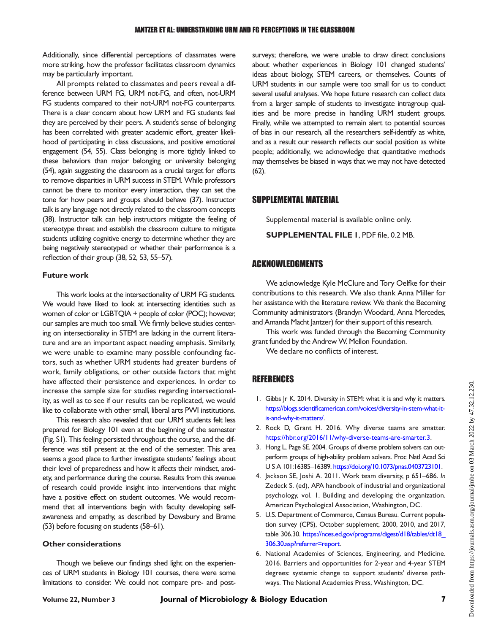Additionally, since differential perceptions of classmates were more striking, how the professor facilitates classroom dynamics may be particularly important.

All prompts related to classmates and peers reveal a difference between URM FG, URM not-FG, and often, not-URM FG students compared to their not-URM not-FG counterparts. There is a clear concern about how URM and FG students feel they are perceived by their peers. A student's sense of belonging has been correlated with greater academic effort, greater likelihood of participating in class discussions, and positive emotional engagement [\(54,](#page-9-18) [55\)](#page-9-19). Class belonging is more tightly linked to these behaviors than major belonging or university belonging [\(54](#page-9-18)), again suggesting the classroom as a crucial target for efforts to remove disparities in URM success in STEM. While professors cannot be there to monitor every interaction, they can set the tone for how peers and groups should behave [\(37\)](#page-9-2). Instructor talk is any language not directly related to the classroom concepts [\(38](#page-9-3)). Instructor talk can help instructors mitigate the feeling of stereotype threat and establish the classroom culture to mitigate students utilizing cognitive energy to determine whether they are being negatively stereotyped or whether their performance is a reflection of their group [\(38,](#page-9-3) [52](#page-9-15), [53,](#page-9-17) [55](#page-9-19)[–](#page-9-20)[57\)](#page-9-21).

#### Future work

This work looks at the intersectionality of URM FG students. We would have liked to look at intersecting identities such as women of color or LGBTQIA + people of color (POC); however, our samples are much too small. We firmly believe studies centering on intersectionality in STEM are lacking in the current literature and are an important aspect needing emphasis. Similarly, we were unable to examine many possible confounding factors, such as whether URM students had greater burdens of work, family obligations, or other outside factors that might have affected their persistence and experiences. In order to increase the sample size for studies regarding intersectionality, as well as to see if our results can be replicated, we would like to collaborate with other small, liberal arts PWI institutions.

This research also revealed that our URM students felt less prepared for Biology 101 even at the beginning of the semester (Fig. S1). This feeling persisted throughout the course, and the difference was still present at the end of the semester. This area seems a good place to further investigate students' feelings about their level of preparedness and how it affects their mindset, anxiety, and performance during the course. Results from this avenue of research could provide insight into interventions that might have a positive effect on student outcomes. We would recommend that all interventions begin with faculty developing selfawareness and empathy, as described by Dewsbury and Brame [\(53](#page-9-17)) before focusing on students [\(58](#page-9-22)–[61\)](#page-9-23).

#### Other considerations

Though we believe our findings shed light on the experiences of URM students in Biology 101 courses, there were some limitations to consider. We could not compare pre- and postsurveys; therefore, we were unable to draw direct conclusions about whether experiences in Biology 101 changed students' ideas about biology, STEM careers, or themselves. Counts of URM students in our sample were too small for us to conduct several useful analyses. We hope future research can collect data from a larger sample of students to investigate intragroup qualities and be more precise in handling URM student groups. Finally, while we attempted to remain alert to potential sources of bias in our research, all the researchers self-identify as white, and as a result our research reflects our social position as white people; additionally, we acknowledge that quantitative methods may themselves be biased in ways that we may not have detected [\(62](#page-9-24)).

## SUPPLEMENTAL MATERIAL

Supplemental material is available online only.

SUPPLEMENTAL FILE 1, PDF file, 0.2 MB.

## ACKNOWLEDGMENTS

We acknowledge Kyle McClure and Tory Oelfke for their contributions to this research. We also thank Anna Miller for her assistance with the literature review. We thank the Becoming Community administrators (Brandyn Woodard, Anna Mercedes, and Amanda Macht Jantzer) for their support of this research.

This work was funded through the Becoming Community grant funded by the Andrew W. Mellon Foundation.

We declare no conflicts of interest.

## REFERENCES

- <span id="page-7-0"></span>1. Gibbs Jr K. 2014. Diversity in STEM: what it is and why it matters. https://blogs.scientifi[camerican.com/voices/diversity-in-stem-what-it](https://blogs.scientificamerican.com/voices/diversity-in-stem-what-it-is-and-why-it-matters/)[is-and-why-it-matters/](https://blogs.scientificamerican.com/voices/diversity-in-stem-what-it-is-and-why-it-matters/).
- 2. Rock D, Grant H. 2016. Why diverse teams are smatter. [https://hbr.org/2016/11/why-diverse-teams-are-smarter.3.](https://hbr.org/2016/11/why-diverse-teams-are-smarter.3)
- 3. Hong L, Page SE. 2004. Groups of diverse problem solvers can outperform groups of high-ability problem solvers. Proc Natl Acad Sci U S A 101:16385–16389. [https://doi.org/10.1073/pnas.0403723101.](https://doi.org/10.1073/pnas.0403723101)
- <span id="page-7-1"></span>4. Jackson SE, Joshi A. 2011. Work team diversity, p 651–686. In Zedeck S. (ed), APA handbook of industrial and organizational psychology, vol. 1. Building and developing the organization. American Psychological Association, Washington, DC.
- <span id="page-7-2"></span>5. U.S. Department of Commerce, Census Bureau. Current population survey (CPS), October supplement, 2000, 2010, and 2017, table 306.30. [https://nces.ed.gov/programs/digest/d18/tables/dt18\\_](https://nces.ed.gov/programs/digest/d18/tables/dt18_306.30.asp?referrer=report) [306.30.asp?referrer=report.](https://nces.ed.gov/programs/digest/d18/tables/dt18_306.30.asp?referrer=report)
- <span id="page-7-3"></span>6. National Academies of Sciences, Engineering, and Medicine. 2016. Barriers and opportunities for 2-year and 4-year STEM degrees: systemic change to support students' diverse pathways. The National Academies Press, Washington, DC.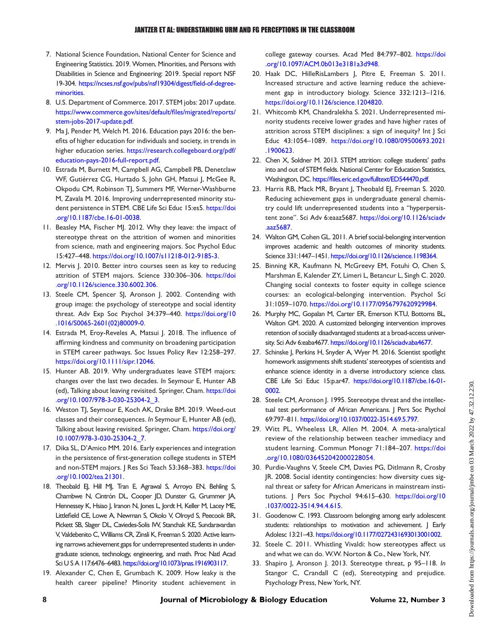- <span id="page-8-0"></span>7. National Science Foundation, National Center for Science and Engineering Statistics. 2019. Women, Minorities, and Persons with Disabilities in Science and Engineering: 2019. Special report NSF 19-304. [https://ncses.nsf.gov/pubs/nsf19304/digest/](https://ncses.nsf.gov/pubs/nsf19304/digest/field-of-degree-minorities)field-of-degree[minorities.](https://ncses.nsf.gov/pubs/nsf19304/digest/field-of-degree-minorities)
- <span id="page-8-1"></span>8. U.S. Department of Commerce. 2017. STEM jobs: 2017 update. [https://www.commerce.gov/sites/default/](https://www.commerce.gov/sites/default/files/migrated/reports/stem-jobs-2017-update.pdf)files/migrated/reports/ [stem-jobs-2017-update.pdf](https://www.commerce.gov/sites/default/files/migrated/reports/stem-jobs-2017-update.pdf).
- <span id="page-8-2"></span>9. Ma J, Pender M, Welch M. 2016. Education pays 2016: the benefits of higher education for individuals and society, in trends in higher education series. [https://research.collegeboard.org/pdf/](https://research.collegeboard.org/pdf/education-pays-2016-full-report.pdf) [education-pays-2016-full-report.pdf](https://research.collegeboard.org/pdf/education-pays-2016-full-report.pdf).
- <span id="page-8-3"></span>10. Estrada M, Burnett M, Campbell AG, Campbell PB, Denetclaw WF, Gutiérrez CG, Hurtado S, John GH, Matsui J, McGee R, Okpodu CM, Robinson TJ, Summers MF, Werner-Washburne M, Zavala M. 2016. Improving underrepresented minority student persistence in STEM. CBE Life Sci Educ 15:es5. [https://doi](https://doi.org/10.1187/cbe.16-01-0038) [.org/10.1187/cbe.16-01-0038.](https://doi.org/10.1187/cbe.16-01-0038)
- <span id="page-8-4"></span>11. Beasley MA, Fischer MJ. 2012. Why they leave: the impact of stereotype threat on the attrition of women and minorities from science, math and engineering majors. Soc Psychol Educ 15:427–448. <https://doi.org/10.1007/s11218-012-9185-3>.
- <span id="page-8-5"></span>12. Mervis J. 2010. Better intro courses seen as key to reducing attrition of STEM majors. Science 330:306–306. [https://doi](https://doi.org/10.1126/science.330.6002.306) [.org/10.1126/science.330.6002.306](https://doi.org/10.1126/science.330.6002.306).
- <span id="page-8-6"></span>13. Steele CM, Spencer SJ, Aronson J. 2002. Contending with group image: the psychology of stereotype and social identity threat. Adv Exp Soc Psychol 34:379–440. [https://doi.org/10](https://doi.org/10.1016/S0065-2601(02)80009-0) [.1016/S0065-2601\(02\)80009-0.](https://doi.org/10.1016/S0065-2601(02)80009-0)
- <span id="page-8-17"></span>14. Estrada M, Eroy-Reveles A, Matsui J. 2018. The influence of affirming kindness and community on broadening participation in STEM career pathways. Soc Issues Policy Rev 12:258–297. <https://doi.org/10.1111/sipr.12046>.
- 15. Hunter AB. 2019. Why undergraduates leave STEM majors: changes over the last two decades. In Seymour E, Hunter AB (ed), Talking about leaving revisited. Springer, Cham. [https://doi](https://doi.org/10.1007/978-3-030-25304-2_3) [.org/10.1007/978-3-030-25304-2\\_3.](https://doi.org/10.1007/978-3-030-25304-2_3)
- 16. Weston TJ, Seymour E, Koch AK, Drake BM. 2019. Weed-out classes and their consequences. In Seymour E, Hunter AB (ed), Talking about leaving revisited. Springer, Cham. [https://doi.org/](https://doi.org/10.1007/978-3-030-25304-2_7) [10.1007/978-3-030-25304-2\\_7.](https://doi.org/10.1007/978-3-030-25304-2_7)
- <span id="page-8-7"></span>17. Dika SL, D'Amico MM. 2016. Early experiences and integration in the persistence of first-generation college students in STEM and non-STEM majors. J Res Sci Teach 53:368-383. [https://doi](https://doi.org/10.1002/tea.21301) [.org/10.1002/tea.21301.](https://doi.org/10.1002/tea.21301)
- <span id="page-8-8"></span>18. Theobald EJ, Hill MJ, Tran E, Agrawal S, Arroyo EN, Behling S, Chambwe N, Cintrón DL, Cooper JD, Dunster G, Grummer JA, Hennessey K, Hsiao J, Iranon N, Jones L, Jordt H, Keller M, Lacey ME, Littlefield CE, Lowe A, Newman S, Okolo V, Olroyd S, Peecook BR, Pickett SB, Slager DL, Caviedes-Solis IW, Stanchak KE, Sundaravardan V, Valdebenito C,Williams CR, Zinsli K, Freeman S. 2020. Active learning narrows achievement gaps for underrepresented students in undergraduate science, technology, engineering, and math. Proc Natl Acad Sci U S A 117:6476–6483. [https://doi.org/10.1073/pnas.1916903117.](https://doi.org/10.1073/pnas.1916903117)
- 19. Alexander C, Chen E, Grumbach K. 2009. How leaky is the health career pipeline? Minority student achievement in

college gateway courses. Acad Med 84:797–802. [https://doi](https://doi.org/10.1097/ACM.0b013e3181a3d948) [.org/10.1097/ACM.0b013e3181a3d948.](https://doi.org/10.1097/ACM.0b013e3181a3d948)

- <span id="page-8-18"></span>20. Haak DC, HilleRisLambers J, Pitre E, Freeman S. 2011. Increased structure and active learning reduce the achievement gap in introductory biology. Science 332:1213–1216. <https://doi.org/10.1126/science.1204820>.
- 21. Whitcomb KM, Chandralekha S. 2021. Underrepresented minority students receive lower grades and have higher rates of attrition across STEM disciplines: a sign of inequity? Int J Sci Educ 43:1054–1089. [https://doi.org/10.1080/09500693.2021](https://doi.org/10.1080/09500693.2021.1900623) [.1900623.](https://doi.org/10.1080/09500693.2021.1900623)
- <span id="page-8-9"></span>22. Chen X, Soldner M. 2013. STEM attrition: college students' paths into and out of STEM fields. National Center for Education Statistics, Washington, DC. https://fi[les.eric.ed.gov/fulltext/ED544470.pdf](https://files.eric.ed.gov/fulltext/ED544470.pdf).
- <span id="page-8-10"></span>23. Harris RB, Mack MR, Bryant J, Theobald EJ, Freeman S. 2020. Reducing achievement gaps in undergraduate general chemistry could lift underrepresented students into a "hyperpersistent zone". Sci Adv 6:eaaz5687. [https://doi.org/10.1126/sciadv](https://doi.org/10.1126/sciadv.aaz5687) [.aaz5687](https://doi.org/10.1126/sciadv.aaz5687).
- <span id="page-8-19"></span>24. Walton GM, Cohen GL. 2011. A brief social-belonging intervention improves academic and health outcomes of minority students. Science 331:1447–1451. <https://doi.org/10.1126/science.1198364>.
- 25. Binning KR, Kaufmann N, McGreevy EM, Fotuhi O, Chen S, Marshman E, Kalender ZY, Limeri L, Betancur L, Singh C. 2020. Changing social contexts to foster equity in college science courses: an ecological-belonging intervention. Psychol Sci 31:1059–1070. [https://doi.org/10.1177/0956797620929984.](https://doi.org/10.1177/0956797620929984)
- <span id="page-8-11"></span>26. Murphy MC, Gopalan M, Carter ER, Emerson KTU, Bottoms BL, Walton GM. 2020. A customized belonging intervention improves retention of socially disadvantaged students at a broad-access university. Sci Adv 6:eaba4677. [https://doi.org/10.1126/sciadv.aba4677.](https://doi.org/10.1126/sciadv.aba4677)
- <span id="page-8-12"></span>27. Schinske J, Perkins H, Snyder A, Wyer M. 2016. Scientist spotlight homework assignments shift students'stereotypes of scientists and enhance science identity in a diverse introductory science class. CBE Life Sci Educ 15:p.ar47. [https://doi.org/10.1187/cbe.16-01-](https://doi.org/10.1187/cbe.16-01-0002) [0002.](https://doi.org/10.1187/cbe.16-01-0002)
- <span id="page-8-13"></span>28. Steele CM, Aronson J. 1995. Stereotype threat and the intellectual test performance of African Americans. J Pers Soc Psychol 69:797–811. [https://doi.org/10.1037/0022-3514.69.5.797.](https://doi.org/10.1037/0022-3514.69.5.797)
- <span id="page-8-14"></span>29. Witt PL, Wheeless LR, Allen M. 2004. A meta-analytical review of the relationship between teacher immediacy and student learning. Commun Monogr 71:184–207. [https://doi](https://doi.org/10.1080/036452042000228054) [.org/10.1080/036452042000228054.](https://doi.org/10.1080/036452042000228054)
- <span id="page-8-15"></span>30. Purdie-Vaughns V, Steele CM, Davies PG, Ditlmann R, Crosby JR. 2008. Social identity contingencies: how diversity cues signal threat or safety for African Americans in mainstream institutions. J Pers Soc Psychol 94:615–630. [https://doi.org/10](https://doi.org/10.1037/0022-3514.94.4.615) [.1037/0022-3514.94.4.615](https://doi.org/10.1037/0022-3514.94.4.615).
- <span id="page-8-16"></span>31. Goodenow C. 1993. Classroom belonging among early adolescent students: relationships to motivation and achievement. J Early Adolesc 13:21–43. [https://doi.org/10.1177/0272431693013001002.](https://doi.org/10.1177/0272431693013001002)
- 32. Steele C. 2011. Whistling Vivaldi: how stereotypes affect us and what we can do. W.W. Norton & Co., New York, NY.
- 33. Shapiro J, Aronson J. 2013. Stereotype threat, p 95-118. In Stangor C, Crandall C (ed), Stereotyping and prejudice. Psychology Press, New York, NY.